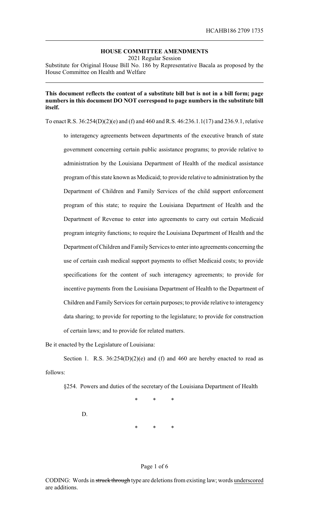## **HOUSE COMMITTEE AMENDMENTS**

2021 Regular Session

Substitute for Original House Bill No. 186 by Representative Bacala as proposed by the House Committee on Health and Welfare

## **This document reflects the content of a substitute bill but is not in a bill form; page numbers in this document DO NOT correspond to page numbers in the substitute bill itself.**

To enact R.S. 36:254(D)(2)(e) and (f) and 460 and R.S. 46:236.1.1(17) and 236.9.1, relative to interagency agreements between departments of the executive branch of state government concerning certain public assistance programs; to provide relative to administration by the Louisiana Department of Health of the medical assistance program of this state known as Medicaid; to provide relative to administration by the Department of Children and Family Services of the child support enforcement program of this state; to require the Louisiana Department of Health and the Department of Revenue to enter into agreements to carry out certain Medicaid program integrity functions; to require the Louisiana Department of Health and the Department of Children and Family Services to enter into agreements concerning the use of certain cash medical support payments to offset Medicaid costs; to provide specifications for the content of such interagency agreements; to provide for incentive payments from the Louisiana Department of Health to the Department of Children and Family Services for certain purposes; to provide relative to interagency data sharing; to provide for reporting to the legislature; to provide for construction of certain laws; and to provide for related matters.

Be it enacted by the Legislature of Louisiana:

Section 1. R.S.  $36:254(D)(2)(e)$  and (f) and 460 are hereby enacted to read as follows:

§254. Powers and duties of the secretary of the Louisiana Department of Health

\* \* \* D. \* \* \*

## Page 1 of 6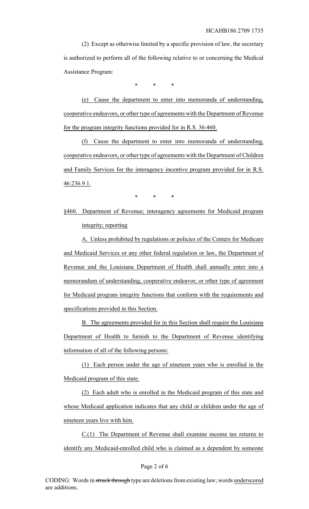(2) Except as otherwise limited by a specific provision of law, the secretary is authorized to perform all of the following relative to or concerning the Medical Assistance Program:

\* \* \*

(e) Cause the department to enter into memoranda of understanding, cooperative endeavors, or other type of agreements with the Department of Revenue for the program integrity functions provided for in R.S. 36:460.

(f) Cause the department to enter into memoranda of understanding, cooperative endeavors, or other type of agreements with the Department of Children and Family Services for the interagency incentive program provided for in R.S. 46:236.9.1.

 $*$  \* \*

§460. Department of Revenue; interagency agreements for Medicaid program integrity; reporting

A. Unless prohibited by regulations or policies of the Centers for Medicare and Medicaid Services or any other federal regulation or law, the Department of Revenue and the Louisiana Department of Health shall annually enter into a memorandum of understanding, cooperative endeavor, or other type of agreement for Medicaid program integrity functions that conform with the requirements and specifications provided in this Section.

B. The agreements provided for in this Section shall require the Louisiana Department of Health to furnish to the Department of Revenue identifying information of all of the following persons:

(1) Each person under the age of nineteen years who is enrolled in the Medicaid program of this state.

(2) Each adult who is enrolled in the Medicaid program of this state and whose Medicaid application indicates that any child or children under the age of nineteen years live with him.

C.(1) The Department of Revenue shall examine income tax returns to identify any Medicaid-enrolled child who is claimed as a dependent by someone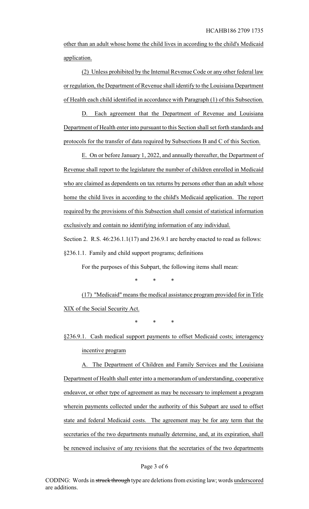other than an adult whose home the child lives in according to the child's Medicaid application.

(2) Unless prohibited by the Internal Revenue Code or any other federal law or regulation, the Department of Revenue shall identify to the Louisiana Department of Health each child identified in accordance with Paragraph (1) of this Subsection.

D. Each agreement that the Department of Revenue and Louisiana Department of Health enter into pursuant to this Section shall set forth standards and protocols for the transfer of data required by Subsections B and C of this Section.

E. On or before January 1, 2022, and annually thereafter, the Department of Revenue shall report to the legislature the number of children enrolled in Medicaid who are claimed as dependents on tax returns by persons other than an adult whose home the child lives in according to the child's Medicaid application. The report required by the provisions of this Subsection shall consist of statistical information exclusively and contain no identifying information of any individual. Section 2. R.S.  $46:236.1.1(17)$  and 236.9.1 are hereby enacted to read as follows:

§236.1.1. Family and child support programs; definitions

For the purposes of this Subpart, the following items shall mean:

\* \* \*

(17) "Medicaid" means the medical assistance program provided for in Title XIX of the Social Security Act.

\* \* \*

§236.9.1. Cash medical support payments to offset Medicaid costs; interagency incentive program

A. The Department of Children and Family Services and the Louisiana Department of Health shall enter into a memorandum of understanding, cooperative endeavor, or other type of agreement as may be necessary to implement a program wherein payments collected under the authority of this Subpart are used to offset state and federal Medicaid costs. The agreement may be for any term that the secretaries of the two departments mutually determine, and, at its expiration, shall be renewed inclusive of any revisions that the secretaries of the two departments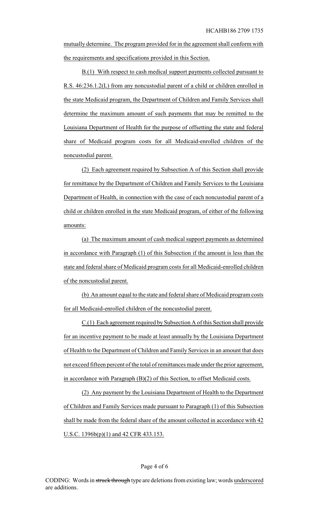mutually determine. The program provided for in the agreement shall conform with the requirements and specifications provided in this Section.

B.(1) With respect to cash medical support payments collected pursuant to R.S. 46:236.1.2(L) from any noncustodial parent of a child or children enrolled in the state Medicaid program, the Department of Children and Family Services shall determine the maximum amount of such payments that may be remitted to the Louisiana Department of Health for the purpose of offsetting the state and federal share of Medicaid program costs for all Medicaid-enrolled children of the noncustodial parent.

(2) Each agreement required by Subsection A of this Section shall provide for remittance by the Department of Children and Family Services to the Louisiana Department of Health, in connection with the case of each noncustodial parent of a child or children enrolled in the state Medicaid program, of either of the following amounts:

(a) The maximum amount of cash medical support payments as determined in accordance with Paragraph (1) of this Subsection if the amount is less than the state and federal share of Medicaid program costs for all Medicaid-enrolled children of the noncustodial parent.

(b) An amount equal to the state and federal share of Medicaid program costs for all Medicaid-enrolled children of the noncustodial parent.

C.(1) Each agreement required by Subsection A of this Section shall provide for an incentive payment to be made at least annually by the Louisiana Department of Health to the Department of Children and Family Services in an amount that does not exceed fifteen percent of the total of remittances made under the prior agreement, in accordance with Paragraph (B)(2) of this Section, to offset Medicaid costs.

(2) Any payment by the Louisiana Department of Health to the Department of Children and Family Services made pursuant to Paragraph (1) of this Subsection shall be made from the federal share of the amount collected in accordance with 42 U.S.C. 1396b(p)(1) and 42 CFR 433.153.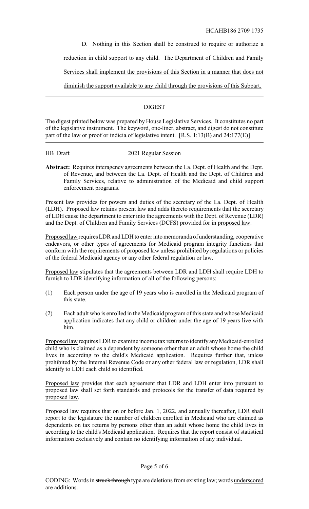HCAHB186 2709 1735

D. Nothing in this Section shall be construed to require or authorize a

reduction in child support to any child. The Department of Children and Family

Services shall implement the provisions of this Section in a manner that does not

diminish the support available to any child through the provisions of this Subpart.

## **DIGEST**

The digest printed below was prepared by House Legislative Services. It constitutes no part of the legislative instrument. The keyword, one-liner, abstract, and digest do not constitute part of the law or proof or indicia of legislative intent. [R.S. 1:13(B) and 24:177(E)]

HB Draft 2021 Regular Session

**Abstract:** Requires interagency agreements between the La. Dept. of Health and the Dept. of Revenue, and between the La. Dept. of Health and the Dept. of Children and Family Services, relative to administration of the Medicaid and child support enforcement programs.

Present law provides for powers and duties of the secretary of the La. Dept. of Health (LDH). Proposed law retains present law and adds thereto requirements that the secretary of LDH cause the department to enter into the agreements with the Dept. of Revenue (LDR) and the Dept. of Children and Family Services (DCFS) provided for in proposed law.

Proposed law requires LDR and LDH to enter into memoranda of understanding, cooperative endeavors, or other types of agreements for Medicaid program integrity functions that conform with the requirements of proposed law unless prohibited by regulations or policies of the federal Medicaid agency or any other federal regulation or law.

Proposed law stipulates that the agreements between LDR and LDH shall require LDH to furnish to LDR identifying information of all of the following persons:

- (1) Each person under the age of 19 years who is enrolled in the Medicaid program of this state.
- (2) Each adult who is enrolled in the Medicaid program of this state and whose Medicaid application indicates that any child or children under the age of 19 years live with him.

Proposed law requires LDR to examine income tax returns to identify any Medicaid-enrolled child who is claimed as a dependent by someone other than an adult whose home the child lives in according to the child's Medicaid application. Requires further that, unless prohibited by the Internal Revenue Code or any other federal law or regulation, LDR shall identify to LDH each child so identified.

Proposed law provides that each agreement that LDR and LDH enter into pursuant to proposed law shall set forth standards and protocols for the transfer of data required by proposed law.

Proposed law requires that on or before Jan. 1, 2022, and annually thereafter, LDR shall report to the legislature the number of children enrolled in Medicaid who are claimed as dependents on tax returns by persons other than an adult whose home the child lives in according to the child's Medicaid application. Requires that the report consist of statistical information exclusively and contain no identifying information of any individual.